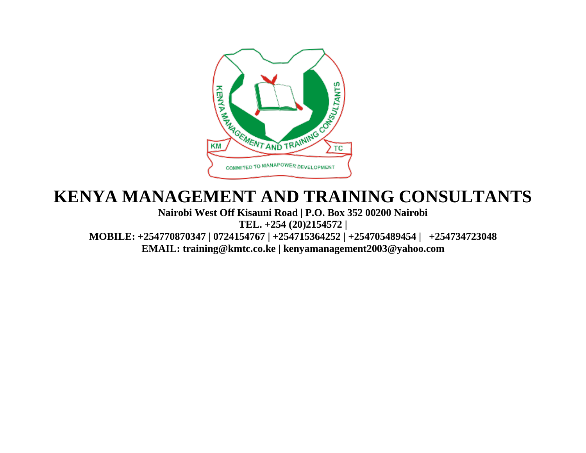

## **KENYA MANAGEMENT AND TRAINING CONSULTANTS**

**Nairobi West Off Kisauni Road | P.O. Box 352 00200 Nairobi TEL. +254 (20)2154572 | MOBILE: +254770870347 | 0724154767 | +254715364252 | +254705489454 | +254734723048 EMAIL: training@kmtc.co.ke | kenyamanagement2003@yahoo.com**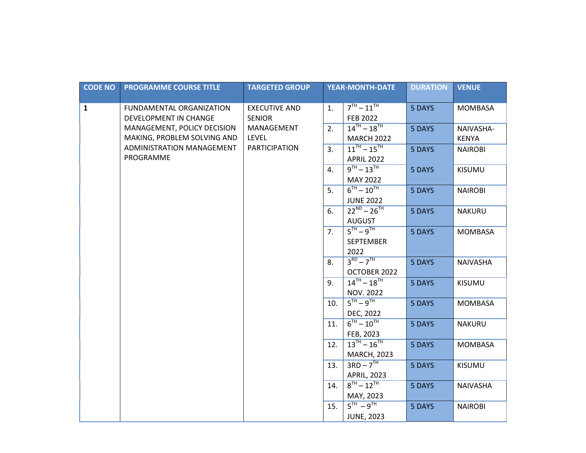| <b>CODE NO</b> | <b>PROGRAMME COURSE TITLE</b> | <b>TARGETED GROUP</b> | <b>YEAR-MONTH-DATE</b> |                     | <b>DURATION</b> | <b>VENUE</b>    |
|----------------|-------------------------------|-----------------------|------------------------|---------------------|-----------------|-----------------|
|                |                               |                       |                        |                     |                 |                 |
| $\mathbf{1}$   | FUNDAMENTAL ORGANIZATION      | <b>EXECUTIVE AND</b>  | 1.                     | $7TH - 11TH$        | 5 DAYS          | <b>MOMBASA</b>  |
|                | DEVELOPMENT IN CHANGE         | <b>SENIOR</b>         |                        | <b>FEB 2022</b>     |                 |                 |
|                | MANAGEMENT, POLICY DECISION   | MANAGEMENT            | 2.                     | $14^{TH} - 18^{TH}$ | 5 DAYS          | NAIVASHA-       |
|                | MAKING, PROBLEM SOLVING AND   | <b>LEVEL</b>          |                        | <b>MARCH 2022</b>   |                 | <b>KENYA</b>    |
|                | ADMINISTRATION MANAGEMENT     | <b>PARTICIPATION</b>  | 3.                     | $11^{TH} - 15^{TH}$ | 5 DAYS          | <b>NAIROBI</b>  |
|                | PROGRAMME                     |                       |                        | <b>APRIL 2022</b>   |                 |                 |
|                |                               |                       | 4.                     | $9^{TH} - 13^{TH}$  | 5 DAYS          | <b>KISUMU</b>   |
|                |                               |                       |                        | <b>MAY 2022</b>     |                 |                 |
|                |                               |                       | 5.                     | $6^{TH} - 10^{TH}$  | 5 DAYS          | <b>NAIROBI</b>  |
|                |                               |                       |                        | <b>JUNE 2022</b>    |                 |                 |
|                |                               |                       | 6.                     | $22^{ND} - 26^{TH}$ | 5 DAYS          | <b>NAKURU</b>   |
|                |                               |                       |                        | <b>AUGUST</b>       |                 |                 |
|                |                               |                       | 7.                     | $5TH - 9TH$         | 5 DAYS          | <b>MOMBASA</b>  |
|                |                               |                       |                        | <b>SEPTEMBER</b>    |                 |                 |
|                |                               |                       |                        | 2022                |                 |                 |
|                |                               |                       | 8.                     | $3RD - 7TH$         | 5 DAYS          | <b>NAIVASHA</b> |
|                |                               |                       |                        | OCTOBER 2022        |                 |                 |
|                |                               |                       | 9.                     | $14^{TH} - 18^{TH}$ | 5 DAYS          | <b>KISUMU</b>   |
|                |                               |                       |                        | NOV. 2022           |                 |                 |
|                |                               |                       | 10.                    | $5TH - 9TH$         | 5 DAYS          | <b>MOMBASA</b>  |
|                |                               |                       |                        | DEC, 2022           |                 |                 |
|                |                               |                       | 11.                    | $6^{TH} - 10^{TH}$  | 5 DAYS          | <b>NAKURU</b>   |
|                |                               |                       |                        | FEB, 2023           |                 |                 |
|                |                               |                       | 12.                    | $13^{TH} - 16^{TH}$ | 5 DAYS          | <b>MOMBASA</b>  |
|                |                               |                       |                        | <b>MARCH, 2023</b>  |                 |                 |
|                |                               |                       | 13.                    | $3RD - 7TH$         | 5 DAYS          | <b>KISUMU</b>   |
|                |                               |                       |                        | <b>APRIL, 2023</b>  |                 |                 |
|                |                               |                       | 14.                    | $8^{TH} - 12^{TH}$  | 5 DAYS          | <b>NAIVASHA</b> |
|                |                               |                       |                        | MAY, 2023           |                 |                 |
|                |                               |                       | 15.                    | $5TH - 9TH$         | 5 DAYS          | <b>NAIROBI</b>  |
|                |                               |                       |                        | <b>JUNE, 2023</b>   |                 |                 |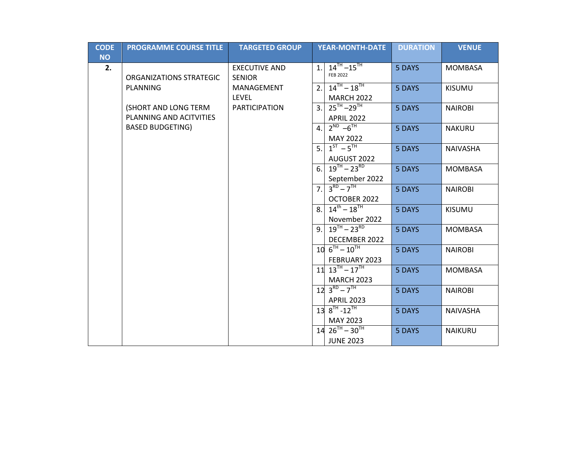| <b>CODE</b> | <b>PROGRAMME COURSE TITLE</b>                   | <b>TARGETED GROUP</b>                 |    | <b>YEAR-MONTH-DATE</b>                                                                             | <b>DURATION</b> | <b>VENUE</b>    |
|-------------|-------------------------------------------------|---------------------------------------|----|----------------------------------------------------------------------------------------------------|-----------------|-----------------|
| <b>NO</b>   |                                                 |                                       |    |                                                                                                    |                 |                 |
| 2.          | <b>ORGANIZATIONS STRATEGIC</b>                  | <b>EXECUTIVE AND</b><br><b>SENIOR</b> | 1. | $14^{TH} - 15^{TH}$<br><b>FEB 2022</b>                                                             | 5 DAYS          | <b>MOMBASA</b>  |
|             | <b>PLANNING</b>                                 | MANAGEMENT<br><b>LEVEL</b>            | 2. | $14^{TH} - 18^{TH}$<br><b>MARCH 2022</b>                                                           | 5 DAYS          | <b>KISUMU</b>   |
|             | (SHORT AND LONG TERM<br>PLANNING AND ACITVITIES | <b>PARTICIPATION</b>                  | 3. | $25^{\text{TH}} - 29^{\text{TH}}$<br><b>APRIL 2022</b>                                             | 5 DAYS          | <b>NAIROBI</b>  |
|             | <b>BASED BUDGETING)</b>                         |                                       | 4. | $2^{ND} -6^{TH}$<br><b>MAY 2022</b>                                                                | 5 DAYS          | <b>NAKURU</b>   |
|             |                                                 |                                       | 5. | $1^{ST} - 5^{TH}$<br>AUGUST 2022                                                                   | 5 DAYS          | <b>NAIVASHA</b> |
|             |                                                 |                                       | 6. | $19^{TH} - 23^{RD}$<br>September 2022                                                              | 5 DAYS          | <b>MOMBASA</b>  |
|             |                                                 |                                       | 7. | $3^{RD} - 7^{TH}$<br>OCTOBER 2022                                                                  | 5 DAYS          | <b>NAIROBI</b>  |
|             |                                                 |                                       | 8. | $14^{th} - 18^{th}$<br>November 2022                                                               | 5 DAYS          | <b>KISUMU</b>   |
|             |                                                 |                                       | 9. | $19^{TH} - 23^{RD}$<br>DECEMBER 2022                                                               | 5 DAYS          | <b>MOMBASA</b>  |
|             |                                                 |                                       |    | $10^{-6}$ <sup>TH</sup> $-10^{7}$<br>FEBRUARY 2023                                                 | 5 DAYS          | <b>NAIROBI</b>  |
|             |                                                 |                                       |    | $11\overline{)13}^{\overline{1}\overline{1}} - 17^{\overline{1}\overline{1}}$<br><b>MARCH 2023</b> | 5 DAYS          | <b>MOMBASA</b>  |
|             |                                                 |                                       |    | $12\overline{3^{RD}-7^{TH}}$<br><b>APRIL 2023</b>                                                  | 5 DAYS          | <b>NAIROBI</b>  |
|             |                                                 |                                       |    | $138^{TH} - 12^{TH}$<br>MAY 2023                                                                   | 5 DAYS          | <b>NAIVASHA</b> |
|             |                                                 |                                       |    | $14 \ 26^{TH} - 30^{TH}$<br><b>JUNE 2023</b>                                                       | 5 DAYS          | <b>NAIKURU</b>  |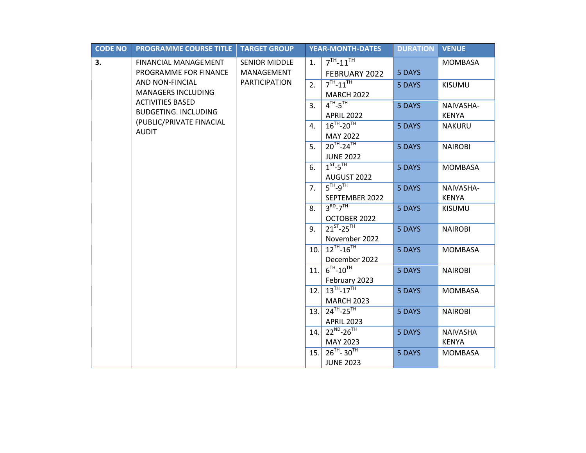| $7TH - 11TH$<br>3.<br><b>FINANCIAL MANAGEMENT</b><br><b>SENIOR MIDDLE</b><br>1.<br><b>MOMBASA</b> |  |
|---------------------------------------------------------------------------------------------------|--|
|                                                                                                   |  |
| PROGRAMME FOR FINANCE<br>MANAGEMENT<br>5 DAYS<br>FEBRUARY 2022                                    |  |
| AND NON-FINCIAL<br><b>PARTICIPATION</b><br>$7^{TH} - 11^{TH}$<br>2.<br>5 DAYS<br><b>KISUMU</b>    |  |
| <b>MANAGERS INCLUDING</b><br><b>MARCH 2022</b>                                                    |  |
| <b>ACTIVITIES BASED</b><br>$4TH-5TH$<br>3.<br>5 DAYS<br>NAIVASHA-                                 |  |
| <b>BUDGETING. INCLUDING</b><br><b>APRIL 2022</b><br><b>KENYA</b>                                  |  |
| (PUBLIC/PRIVATE FINACIAL<br>$16^{TH} - 20^{TH}$<br>4.<br>5 DAYS<br><b>NAKURU</b><br><b>AUDIT</b>  |  |
| MAY 2022                                                                                          |  |
| $20^{TH} - 24^{TH}$<br>5.<br>5 DAYS<br><b>NAIROBI</b>                                             |  |
| <b>JUNE 2022</b>                                                                                  |  |
| $1ST-5TH$<br>6.<br>5 DAYS<br><b>MOMBASA</b>                                                       |  |
| AUGUST 2022                                                                                       |  |
| $5TH-9TH$<br>7 <sub>1</sub><br>5 DAYS<br>NAIVASHA-                                                |  |
| <b>KENYA</b><br>SEPTEMBER 2022                                                                    |  |
| $3RD-7TH$<br>8.<br>5 DAYS<br><b>KISUMU</b>                                                        |  |
| OCTOBER 2022                                                                                      |  |
| $21^{ST} - 25^{TH}$<br>9.<br>5 DAYS<br><b>NAIROBI</b>                                             |  |
| November 2022                                                                                     |  |
| $12^{TH} - 16^{TH}$<br>10.<br>5 DAYS<br><b>MOMBASA</b>                                            |  |
| December 2022                                                                                     |  |
| $6^{TH} - 10^{TH}$<br>11.<br>5 DAYS<br><b>NAIROBI</b>                                             |  |
| February 2023<br>$13^{TH} - 17^{TH}$                                                              |  |
| 12.<br><b>MOMBASA</b><br>5 DAYS                                                                   |  |
| <b>MARCH 2023</b><br>$24^{TH} - 25^{TH}$                                                          |  |
| 13.1<br>5 DAYS<br><b>NAIROBI</b>                                                                  |  |
| <b>APRIL 2023</b><br>$22^{ND} - 26^{TH}$                                                          |  |
| 14.<br>5 DAYS<br>NAIVASHA<br><b>KENYA</b><br>MAY 2023                                             |  |
| $26^{TH} - 30^{TH}$<br>15.<br>5 DAYS<br><b>MOMBASA</b>                                            |  |
| <b>JUNE 2023</b>                                                                                  |  |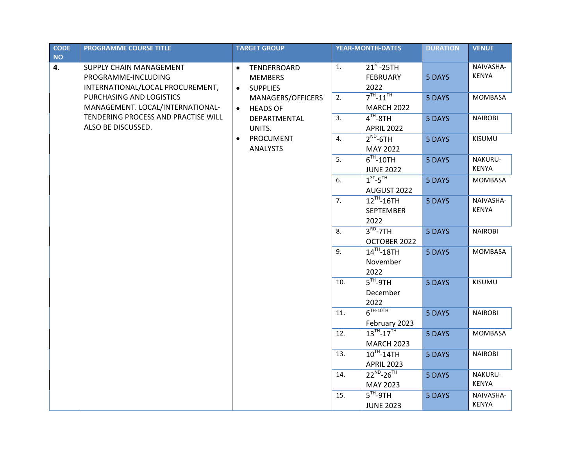| <b>CODE</b><br><b>NO</b> | <b>PROGRAMME COURSE TITLE</b>                                                                                  |                        | <b>TARGET GROUP</b>                                                   |          | <b>YEAR-MONTH-DATES</b>                                    | <b>DURATION</b>  | <b>VENUE</b>                         |
|--------------------------|----------------------------------------------------------------------------------------------------------------|------------------------|-----------------------------------------------------------------------|----------|------------------------------------------------------------|------------------|--------------------------------------|
| 4.                       | SUPPLY CHAIN MANAGEMENT<br>PROGRAMME-INCLUDING<br>INTERNATIONAL/LOCAL PROCUREMENT,<br>PURCHASING AND LOGISTICS | $\bullet$<br>$\bullet$ | TENDERBOARD<br><b>MEMBERS</b><br><b>SUPPLIES</b><br>MANAGERS/OFFICERS | 1.<br>2. | $21^{ST}$ -25TH<br><b>FEBRUARY</b><br>2022<br>$7TH - 11TH$ | 5 DAYS<br>5 DAYS | NAIVASHA-<br><b>KENYA</b><br>MOMBASA |
|                          | MANAGEMENT. LOCAL/INTERNATIONAL-                                                                               | $\bullet$              | <b>HEADS OF</b>                                                       |          | <b>MARCH 2022</b>                                          |                  |                                      |
|                          | TENDERING PROCESS AND PRACTISE WILL<br>ALSO BE DISCUSSED.                                                      |                        | DEPARTMENTAL<br>UNITS.                                                | 3.       | $4TH-8TH$<br><b>APRIL 2022</b>                             | 5 DAYS           | <b>NAIROBI</b>                       |
|                          |                                                                                                                | $\bullet$              | PROCUMENT<br><b>ANALYSTS</b>                                          | 4.       | $2^{ND}$ -6TH<br>MAY 2022                                  | 5 DAYS           | KISUMU                               |
|                          |                                                                                                                |                        |                                                                       | 5.       | $6TH - 10TH$<br><b>JUNE 2022</b>                           | 5 DAYS           | NAKURU-<br><b>KENYA</b>              |
|                          |                                                                                                                |                        |                                                                       | 6.       | $1ST-5TH$<br>AUGUST 2022                                   | 5 DAYS           | <b>MOMBASA</b>                       |
|                          |                                                                                                                |                        |                                                                       | 7.       | $12TH - 16TH$<br><b>SEPTEMBER</b><br>2022                  | 5 DAYS           | NAIVASHA-<br><b>KENYA</b>            |
|                          |                                                                                                                |                        |                                                                       | 8.       | $3RD-7TH$<br>OCTOBER 2022                                  | 5 DAYS           | <b>NAIROBI</b>                       |
|                          |                                                                                                                |                        |                                                                       | 9.       | $14$ <sup>TH</sup> -18TH<br>November<br>2022               | 5 DAYS           | MOMBASA                              |
|                          |                                                                                                                |                        |                                                                       | 10.      | $5TH-9TH$<br>December<br>2022                              | 5 DAYS           | KISUMU                               |
|                          |                                                                                                                |                        |                                                                       | 11.      | $6^{TH-10TH}$<br>February 2023                             | 5 DAYS           | <b>NAIROBI</b>                       |
|                          |                                                                                                                |                        |                                                                       | 12.      | $13^{TH} - 17^{TH}$<br><b>MARCH 2023</b>                   | 5 DAYS           | MOMBASA                              |
|                          |                                                                                                                |                        |                                                                       | 13.      | $10^{TH}$ -14TH<br><b>APRIL 2023</b>                       | 5 DAYS           | <b>NAIROBI</b>                       |
|                          |                                                                                                                |                        |                                                                       | 14.      | $22^{ND} - 26^{TH}$<br>MAY 2023                            | 5 DAYS           | NAKURU-<br><b>KENYA</b>              |
|                          |                                                                                                                |                        |                                                                       | 15.      | $5TH-9TH$<br><b>JUNE 2023</b>                              | 5 DAYS           | NAIVASHA-<br><b>KENYA</b>            |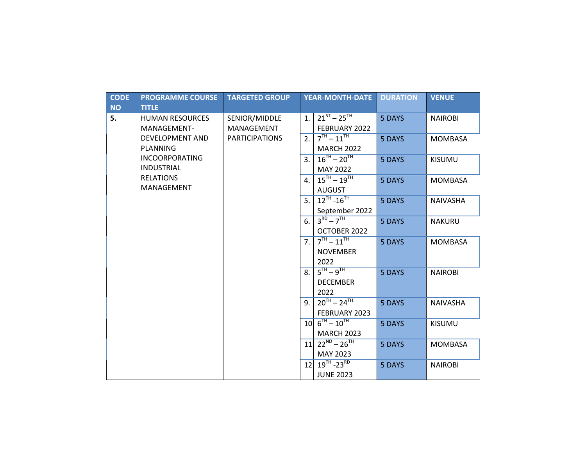| <b>CODE</b><br><b>NO</b> | <b>PROGRAMME COURSE</b><br><b>TITLE</b> | <b>TARGETED GROUP</b> |                | <b>YEAR-MONTH-DATE</b>                           | <b>DURATION</b> | <b>VENUE</b>    |
|--------------------------|-----------------------------------------|-----------------------|----------------|--------------------------------------------------|-----------------|-----------------|
| 5.                       | <b>HUMAN RESOURCES</b>                  | SENIOR/MIDDLE         | 1.             | $21^{57} - 25^{7H}$                              | 5 DAYS          | <b>NAIROBI</b>  |
|                          | MANAGEMENT-                             | MANAGEMENT            |                | FEBRUARY 2022                                    |                 |                 |
|                          | <b>DEVELOPMENT AND</b>                  | <b>PARTICIPATIONS</b> | 2.             | $7TH - 11TH$                                     | 5 DAYS          | <b>MOMBASA</b>  |
|                          | <b>PLANNING</b>                         |                       |                | <b>MARCH 2022</b>                                |                 |                 |
|                          | <b>INCOORPORATING</b>                   |                       | 3 <sub>1</sub> | $16^{TH} - 20^{TH}$                              | 5 DAYS          | <b>KISUMU</b>   |
|                          | <b>INDUSTRIAL</b>                       |                       |                | <b>MAY 2022</b>                                  |                 |                 |
|                          | <b>RELATIONS</b>                        |                       | 4.             | $15^{TH} - 19^{TH}$                              | 5 DAYS          | <b>MOMBASA</b>  |
|                          | MANAGEMENT                              |                       |                | <b>AUGUST</b>                                    |                 |                 |
|                          |                                         |                       | 5.             | $12^{TH} - 16^{TH}$                              | 5 DAYS          | <b>NAIVASHA</b> |
|                          |                                         |                       |                | September 2022                                   |                 |                 |
|                          |                                         |                       | 6.             | $3^{RD} - 7^{TH}$                                | 5 DAYS          | <b>NAKURU</b>   |
|                          |                                         |                       |                | OCTOBER 2022                                     |                 |                 |
|                          |                                         |                       | 7.             | $7^{TH} - 11^{TH}$                               | 5 DAYS          | <b>MOMBASA</b>  |
|                          |                                         |                       |                | <b>NOVEMBER</b>                                  |                 |                 |
|                          |                                         |                       |                | 2022                                             |                 |                 |
|                          |                                         |                       | 8.             | $5^{TH} - 9^{TH}$                                | 5 DAYS          | <b>NAIROBI</b>  |
|                          |                                         |                       |                | <b>DECEMBER</b>                                  |                 |                 |
|                          |                                         |                       |                | 2022                                             |                 |                 |
|                          |                                         |                       | 9.             | $20^{TH} - 24^{TH}$                              | 5 DAYS          | <b>NAIVASHA</b> |
|                          |                                         |                       |                | FEBRUARY 2023                                    |                 |                 |
|                          |                                         |                       |                | $10 \frac{6}{10} - 10^{1}$                       | 5 DAYS          | <b>KISUMU</b>   |
|                          |                                         |                       |                | <b>MARCH 2023</b>                                |                 |                 |
|                          |                                         |                       |                | $11 \overline{\smash{\big)}\ 22^{ND} - 26^{TH}}$ | 5 DAYS          | <b>MOMBASA</b>  |
|                          |                                         |                       |                | MAY 2023                                         |                 |                 |
|                          |                                         |                       | 12             | $19^{\text{TH}}$ -23 <sup>RD</sup>               | 5 DAYS          | <b>NAIROBI</b>  |
|                          |                                         |                       |                | <b>JUNE 2023</b>                                 |                 |                 |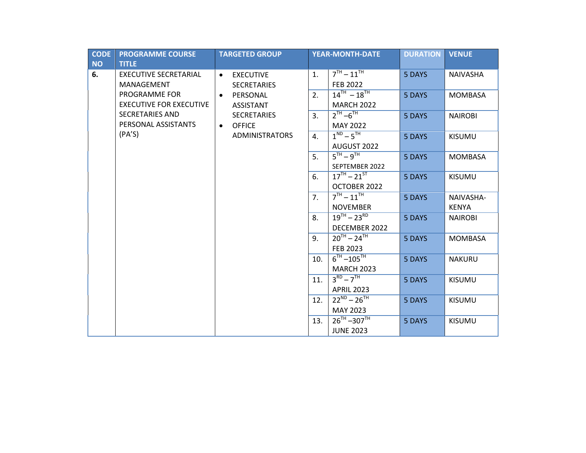| <b>CODE</b><br><b>NO</b> | <b>PROGRAMME COURSE</b><br><b>TITLE</b>         | <b>TARGETED GROUP</b>                               |     | <b>YEAR-MONTH-DATE</b>                   | <b>DURATION</b> | <b>VENUE</b>              |
|--------------------------|-------------------------------------------------|-----------------------------------------------------|-----|------------------------------------------|-----------------|---------------------------|
| 6.                       | <b>EXECUTIVE SECRETARIAL</b><br>MANAGEMENT      | <b>EXECUTIVE</b><br>$\bullet$<br><b>SECRETARIES</b> | 1.  | $7^{TH} - 11^{TH}$<br><b>FEB 2022</b>    | 5 DAYS          | <b>NAIVASHA</b>           |
|                          | PROGRAMME FOR<br><b>EXECUTIVE FOR EXECUTIVE</b> | PERSONAL<br>$\bullet$<br><b>ASSISTANT</b>           | 2.  | $14^{TH} - 18^{TH}$<br><b>MARCH 2022</b> | 5 DAYS          | <b>MOMBASA</b>            |
|                          | <b>SECRETARIES AND</b><br>PERSONAL ASSISTANTS   | <b>SECRETARIES</b><br><b>OFFICE</b><br>$\bullet$    | 3.  | $2^{TH} - 6^{TH}$<br><b>MAY 2022</b>     | 5 DAYS          | <b>NAIROBI</b>            |
|                          | (PA'S)                                          | <b>ADMINISTRATORS</b>                               | 4.  | $1^{ND} - 5^{TH}$<br>AUGUST 2022         | 5 DAYS          | <b>KISUMU</b>             |
|                          |                                                 |                                                     | 5.  | $5TH - 9TH$<br>SEPTEMBER 2022            | 5 DAYS          | <b>MOMBASA</b>            |
|                          |                                                 |                                                     | 6.  | $17^{TH} - 21^{ST}$<br>OCTOBER 2022      | 5 DAYS          | <b>KISUMU</b>             |
|                          |                                                 |                                                     | 7.  | $7TH - 11TH$<br><b>NOVEMBER</b>          | 5 DAYS          | NAIVASHA-<br><b>KENYA</b> |
|                          |                                                 |                                                     | 8.  | $19^{TH} - 23^{RD}$<br>DECEMBER 2022     | 5 DAYS          | <b>NAIROBI</b>            |
|                          |                                                 |                                                     | 9.  | $20^{TH} - 24^{TH}$<br>FEB 2023          | 5 DAYS          | <b>MOMBASA</b>            |
|                          |                                                 |                                                     | 10. | $6^{TH} - 105^{TH}$<br><b>MARCH 2023</b> | 5 DAYS          | <b>NAKURU</b>             |
|                          |                                                 |                                                     | 11. | $3^{RD} - 7^{TH}$<br><b>APRIL 2023</b>   | 5 DAYS          | <b>KISUMU</b>             |
|                          |                                                 |                                                     | 12. | $22^{ND} - 26^{TH}$<br>MAY 2023          | 5 DAYS          | <b>KISUMU</b>             |
|                          |                                                 |                                                     | 13. | $26^{TH} - 307^{TH}$<br><b>JUNE 2023</b> | 5 DAYS          | <b>KISUMU</b>             |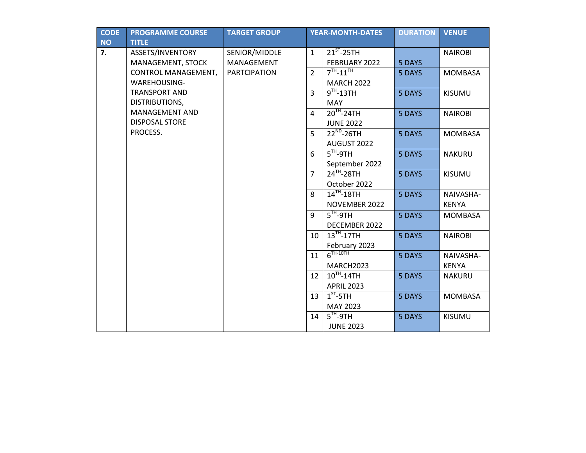| <b>CODE</b> | <b>PROGRAMME COURSE</b> | <b>TARGET GROUP</b> |                | <b>YEAR-MONTH-DATES</b>           | <b>DURATION</b> | <b>VENUE</b>   |
|-------------|-------------------------|---------------------|----------------|-----------------------------------|-----------------|----------------|
| <b>NO</b>   | <b>TITLE</b>            |                     |                |                                   |                 |                |
| 7.          | ASSETS/INVENTORY        | SENIOR/MIDDLE       | $\mathbf{1}$   | $21^{ST}$ -25TH                   |                 | <b>NAIROBI</b> |
|             | MANAGEMENT, STOCK       | MANAGEMENT          |                | FEBRUARY 2022                     | 5 DAYS          |                |
|             | CONTROL MANAGEMENT,     | <b>PARTCIPATION</b> | $\overline{2}$ | $7TH - 11TH$                      | 5 DAYS          | <b>MOMBASA</b> |
|             | WAREHOUSING-            |                     |                | <b>MARCH 2022</b>                 |                 |                |
|             | <b>TRANSPORT AND</b>    |                     | 3              | $9TH - 13TH$                      | 5 DAYS          | KISUMU         |
|             | DISTRIBUTIONS,          |                     |                | <b>MAY</b>                        |                 |                |
|             | MANAGEMENT AND          |                     | 4              | $20TH - 24TH$                     | 5 DAYS          | <b>NAIROBI</b> |
|             | <b>DISPOSAL STORE</b>   |                     |                | <b>JUNE 2022</b>                  |                 |                |
|             | PROCESS.                |                     | 5              | $22^{ND} - 26TH$                  | 5 DAYS          | <b>MOMBASA</b> |
|             |                         |                     |                | AUGUST 2022                       |                 |                |
|             |                         |                     | 6              | $\overline{5}$ <sup>TH</sup> -9TH | 5 DAYS          | <b>NAKURU</b>  |
|             |                         |                     |                | September 2022                    |                 |                |
|             |                         |                     | $\overline{7}$ | $24TH - 28TH$                     | 5 DAYS          | <b>KISUMU</b>  |
|             |                         |                     |                | October 2022                      |                 |                |
|             |                         |                     | 8              | $14$ <sup>TH</sup> -18TH          | 5 DAYS          | NAIVASHA-      |
|             |                         |                     |                | NOVEMBER 2022                     |                 | <b>KENYA</b>   |
|             |                         |                     | 9              | $5TH-9TH$                         | 5 DAYS          | <b>MOMBASA</b> |
|             |                         |                     |                | DECEMBER 2022                     |                 |                |
|             |                         |                     | 10             | $13TH - 17TH$                     | 5 DAYS          | <b>NAIROBI</b> |
|             |                         |                     |                | February 2023                     |                 |                |
|             |                         |                     | 11             | $6TH-10TH$                        | 5 DAYS          | NAIVASHA-      |
|             |                         |                     |                | MARCH2023                         |                 | <b>KENYA</b>   |
|             |                         |                     | 12             | $10^{TH}$ -14TH                   | 5 DAYS          | <b>NAKURU</b>  |
|             |                         |                     |                | <b>APRIL 2023</b>                 |                 |                |
|             |                         |                     | 13             | $1ST - 5TH$                       | 5 DAYS          | <b>MOMBASA</b> |
|             |                         |                     |                | MAY 2023                          |                 |                |
|             |                         |                     | 14             | $5TH-9TH$                         | 5 DAYS          | <b>KISUMU</b>  |
|             |                         |                     |                | <b>JUNE 2023</b>                  |                 |                |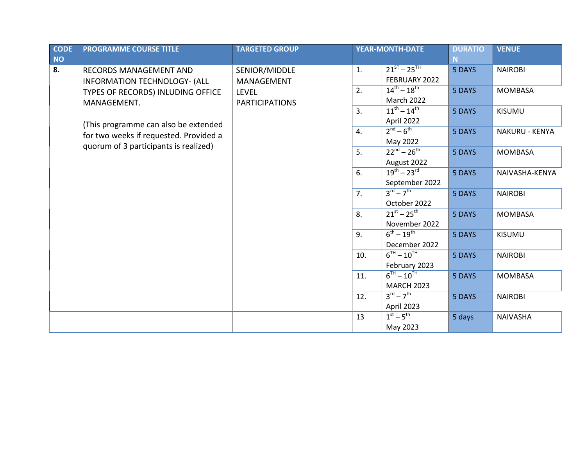| <b>CODE</b> | <b>PROGRAMME COURSE TITLE</b>          | <b>TARGETED GROUP</b> |                  | <b>YEAR-MONTH-DATE</b>          | <b>DURATIO</b> | <b>VENUE</b>    |
|-------------|----------------------------------------|-----------------------|------------------|---------------------------------|----------------|-----------------|
| <b>NO</b>   |                                        |                       |                  |                                 |                |                 |
| 8.          | RECORDS MANAGEMENT AND                 | SENIOR/MIDDLE         | 1.               | $21^{ST} - 25^{TH}$             | 5 DAYS         | <b>NAIROBI</b>  |
|             | INFORMATION TECHNOLOGY- (ALL           | MANAGEMENT            |                  | FEBRUARY 2022                   |                |                 |
|             | TYPES OF RECORDS) INLUDING OFFICE      | <b>LEVEL</b>          | 2.               | $14^{th} - 18^{th}$             | 5 DAYS         | <b>MOMBASA</b>  |
|             | MANAGEMENT.                            | <b>PARTICIPATIONS</b> |                  | <b>March 2022</b>               |                |                 |
|             | (This programme can also be extended   |                       | 3.               | $11^{th} - 14^{th}$             | 5 DAYS         | KISUMU          |
|             |                                        |                       |                  | April 2022                      |                |                 |
|             | for two weeks if requested. Provided a |                       | $\overline{4}$ . | $2nd - 6th$                     | 5 DAYS         | NAKURU - KENYA  |
|             | quorum of 3 participants is realized)  |                       |                  | May 2022                        |                |                 |
|             |                                        |                       | 5.               | $22^{nd} - 26^{th}$             | 5 DAYS         | <b>MOMBASA</b>  |
|             |                                        |                       |                  | August 2022                     |                |                 |
|             |                                        |                       | 6.               | $19^{th} - 23^{rd}$             | 5 DAYS         | NAIVASHA-KENYA  |
|             |                                        |                       |                  | September 2022                  |                |                 |
|             |                                        |                       | 7.               | $3^{\text{rd}} - 7^{\text{th}}$ | 5 DAYS         | <b>NAIROBI</b>  |
|             |                                        |                       |                  | October 2022                    |                |                 |
|             |                                        |                       | 8.               | $21^{st} - 25^{th}$             | 5 DAYS         | <b>MOMBASA</b>  |
|             |                                        |                       |                  | November 2022                   |                |                 |
|             |                                        |                       | 9.               | $6^{th} - 19^{th}$              | 5 DAYS         | <b>KISUMU</b>   |
|             |                                        |                       |                  | December 2022                   |                |                 |
|             |                                        |                       | 10.              | $6^{TH} - 10^{TH}$              | 5 DAYS         | <b>NAIROBI</b>  |
|             |                                        |                       |                  | February 2023                   |                |                 |
|             |                                        |                       | 11.              | $6^{TH} - 10^{TH}$              | 5 DAYS         | <b>MOMBASA</b>  |
|             |                                        |                       |                  | <b>MARCH 2023</b>               |                |                 |
|             |                                        |                       | 12.              | $3^{\text{rd}} - 7^{\text{th}}$ | 5 DAYS         | <b>NAIROBI</b>  |
|             |                                        |                       |                  | April 2023                      |                |                 |
|             |                                        |                       | 13               | $1st - 5th$                     | 5 days         | <b>NAIVASHA</b> |
|             |                                        |                       |                  | May 2023                        |                |                 |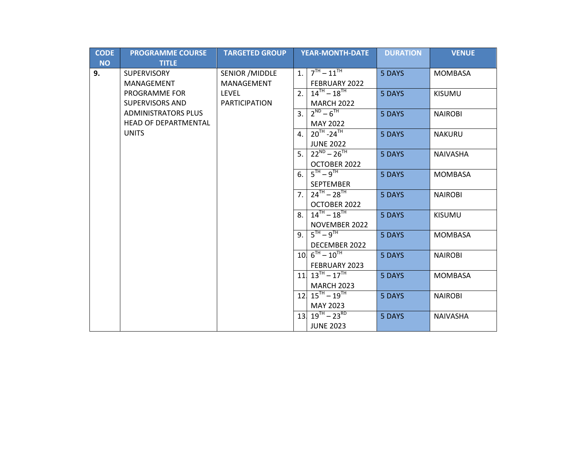| <b>CODE</b> | <b>PROGRAMME COURSE</b>    | <b>TARGETED GROUP</b> |                | <b>YEAR-MONTH-DATE</b>                       | <b>DURATION</b> | <b>VENUE</b>    |
|-------------|----------------------------|-----------------------|----------------|----------------------------------------------|-----------------|-----------------|
| <b>NO</b>   | <b>TITLE</b>               |                       |                |                                              |                 |                 |
| 9.          | <b>SUPERVISORY</b>         | SENIOR / MIDDLE       | 1.             | $7^{TH} - 11^{TH}$                           | 5 DAYS          | <b>MOMBASA</b>  |
|             | MANAGEMENT                 | MANAGEMENT            |                | FEBRUARY 2022                                |                 |                 |
|             | PROGRAMME FOR              | LEVEL                 | 2.             | $14^{TH} - 18^{TH}$                          | 5 DAYS          | <b>KISUMU</b>   |
|             | <b>SUPERVISORS AND</b>     | <b>PARTICIPATION</b>  |                | <b>MARCH 2022</b>                            |                 |                 |
|             | <b>ADMINISTRATORS PLUS</b> |                       | 3.             | $2^{ND} - 6^{TH}$                            | 5 DAYS          | <b>NAIROBI</b>  |
|             | HEAD OF DEPARTMENTAL       |                       |                | <b>MAY 2022</b>                              |                 |                 |
|             | <b>UNITS</b>               |                       | 4.             | $20^{TH} - 24^{TH}$                          | 5 DAYS          | <b>NAKURU</b>   |
|             |                            |                       |                | <b>JUNE 2022</b>                             |                 |                 |
|             |                            |                       | 5.             | $22^{ND} - 26^{TH}$                          | 5 DAYS          | <b>NAIVASHA</b> |
|             |                            |                       |                | OCTOBER 2022                                 |                 |                 |
|             |                            |                       | 6.             | $5^{TH} - 9^{TH}$                            | 5 DAYS          | <b>MOMBASA</b>  |
|             |                            |                       |                | <b>SEPTEMBER</b>                             |                 |                 |
|             |                            |                       | 7.             | $24^{TH} - 28^{TH}$                          | 5 DAYS          | <b>NAIROBI</b>  |
|             |                            |                       |                | OCTOBER 2022                                 |                 |                 |
|             |                            |                       | 8.             | $14^{TH} - 18^{TH}$                          | 5 DAYS          | <b>KISUMU</b>   |
|             |                            |                       |                | NOVEMBER 2022                                |                 |                 |
|             |                            |                       | 9 <sub>1</sub> | $5^{TH} - 9^{TH}$                            | 5 DAYS          | <b>MOMBASA</b>  |
|             |                            |                       |                | DECEMBER 2022                                |                 |                 |
|             |                            |                       |                | $10\sqrt{6^{TH} - 10^{TH}}$                  | 5 DAYS          | <b>NAIROBI</b>  |
|             |                            |                       |                | FEBRUARY 2023                                |                 |                 |
|             |                            |                       |                | $11 \overline{\smash{)}\ 13^{TH} - 17^{TH}}$ | 5 DAYS          | <b>MOMBASA</b>  |
|             |                            |                       |                | <b>MARCH 2023</b>                            |                 |                 |
|             |                            |                       |                | $12\overline{)15^{TH}-19^{TH}}$              | 5 DAYS          | <b>NAIROBI</b>  |
|             |                            |                       |                | MAY 2023                                     |                 |                 |
|             |                            |                       |                | $13 \overline{)19^{TH} - 23^{RD}}$           | 5 DAYS          | <b>NAIVASHA</b> |
|             |                            |                       |                | <b>JUNE 2023</b>                             |                 |                 |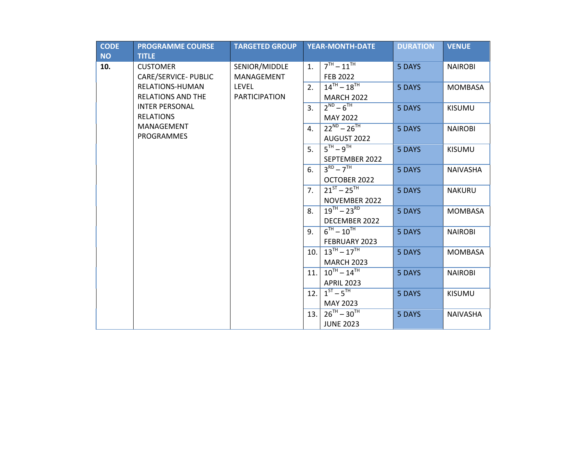| <b>CODE</b> | <b>PROGRAMME COURSE</b>  | <b>TARGETED GROUP</b> |                | <b>YEAR-MONTH-DATE</b> | <b>DURATION</b> | <b>VENUE</b>    |
|-------------|--------------------------|-----------------------|----------------|------------------------|-----------------|-----------------|
| <b>NO</b>   | <b>TITLE</b>             |                       |                |                        |                 |                 |
| 10.         | <b>CUSTOMER</b>          | SENIOR/MIDDLE         | 1.             | $7TH - 11TH$           | 5 DAYS          | <b>NAIROBI</b>  |
|             | CARE/SERVICE- PUBLIC     | MANAGEMENT            |                | <b>FEB 2022</b>        |                 |                 |
|             | RELATIONS-HUMAN          | <b>LEVEL</b>          | 2.             | $14^{TH} - 18^{TH}$    | 5 DAYS          | <b>MOMBASA</b>  |
|             | <b>RELATIONS AND THE</b> | <b>PARTICIPATION</b>  |                | <b>MARCH 2022</b>      |                 |                 |
|             | <b>INTER PERSONAL</b>    |                       | 3.             | $2^{ND} - 6^{TH}$      | 5 DAYS          | <b>KISUMU</b>   |
|             | <b>RELATIONS</b>         |                       |                | <b>MAY 2022</b>        |                 |                 |
|             | MANAGEMENT               |                       | $\mathbf{4}$ . | $22^{ND} - 26^{TH}$    | 5 DAYS          | <b>NAIROBI</b>  |
|             | PROGRAMMES               |                       |                | AUGUST 2022            |                 |                 |
|             |                          |                       | 5.             | $5TH - 9TH$            | 5 DAYS          | <b>KISUMU</b>   |
|             |                          |                       |                | SEPTEMBER 2022         |                 |                 |
|             |                          |                       | 6.             | $3^{RD} - 7^{TH}$      | 5 DAYS          | <b>NAIVASHA</b> |
|             |                          |                       |                | OCTOBER 2022           |                 |                 |
|             |                          |                       | 7.             | $21^{ST} - 25^{TH}$    | 5 DAYS          | <b>NAKURU</b>   |
|             |                          |                       |                | NOVEMBER 2022          |                 |                 |
|             |                          |                       | 8.             | $19^{TH} - 23^{RD}$    | 5 DAYS          | <b>MOMBASA</b>  |
|             |                          |                       |                | DECEMBER 2022          |                 |                 |
|             |                          |                       | 9.             | $6^{TH} - 10^{TH}$     | 5 DAYS          | <b>NAIROBI</b>  |
|             |                          |                       |                | FEBRUARY 2023          |                 |                 |
|             |                          |                       | 10.            | $13^{TH} - 17^{TH}$    | 5 DAYS          | <b>MOMBASA</b>  |
|             |                          |                       |                | <b>MARCH 2023</b>      |                 |                 |
|             |                          |                       | 11.            | $10^{TH} - 14^{TH}$    | 5 DAYS          | <b>NAIROBI</b>  |
|             |                          |                       |                | <b>APRIL 2023</b>      |                 |                 |
|             |                          |                       | 12.            | $1^{ST} - 5^{TH}$      | 5 DAYS          | <b>KISUMU</b>   |
|             |                          |                       |                | MAY 2023               |                 |                 |
|             |                          |                       | 13.            | $26^{TH} - 30^{TH}$    | 5 DAYS          | <b>NAIVASHA</b> |
|             |                          |                       |                | <b>JUNE 2023</b>       |                 |                 |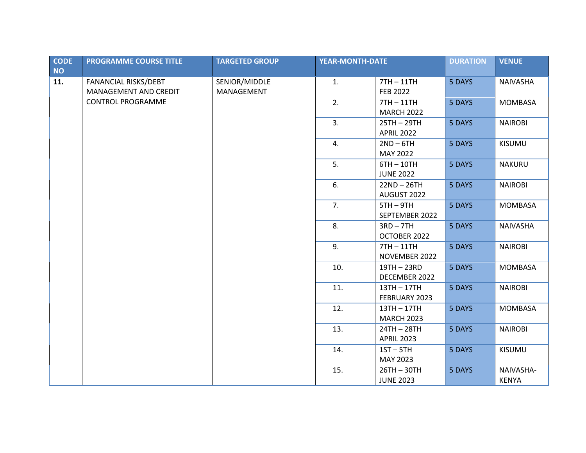| <b>CODE</b> | <b>PROGRAMME COURSE TITLE</b> | <b>TARGETED GROUP</b> | <b>YEAR-MONTH-DATE</b> |                   | <b>DURATION</b> | <b>VENUE</b>   |
|-------------|-------------------------------|-----------------------|------------------------|-------------------|-----------------|----------------|
| <b>NO</b>   |                               |                       |                        |                   |                 |                |
| 11.         | FANANCIAL RISKS/DEBT          | SENIOR/MIDDLE         | 1.                     | $7TH - 11TH$      | 5 DAYS          | NAIVASHA       |
|             | MANAGEMENT AND CREDIT         | MANAGEMENT            |                        | <b>FEB 2022</b>   |                 |                |
|             | <b>CONTROL PROGRAMME</b>      |                       | 2.                     | $7TH - 11TH$      | 5 DAYS          | <b>MOMBASA</b> |
|             |                               |                       |                        | <b>MARCH 2022</b> |                 |                |
|             |                               |                       | 3.                     | 25TH-29TH         | 5 DAYS          | <b>NAIROBI</b> |
|             |                               |                       |                        | <b>APRIL 2022</b> |                 |                |
|             |                               |                       | 4.                     | $2ND - 6TH$       | 5 DAYS          | <b>KISUMU</b>  |
|             |                               |                       |                        | MAY 2022          |                 |                |
|             |                               |                       | 5.                     | $6TH - 10TH$      | 5 DAYS          | <b>NAKURU</b>  |
|             |                               |                       |                        | <b>JUNE 2022</b>  |                 |                |
|             |                               |                       | 6.                     | $22ND - 26TH$     | 5 DAYS          | <b>NAIROBI</b> |
|             |                               |                       |                        | AUGUST 2022       |                 |                |
|             |                               |                       | 7.                     | $5TH - 9TH$       | 5 DAYS          | <b>MOMBASA</b> |
|             |                               |                       | SEPTEMBER 2022         |                   |                 |                |
|             |                               | 8.                    | $3RD - 7TH$            | 5 DAYS            | NAIVASHA        |                |
|             |                               |                       |                        | OCTOBER 2022      |                 |                |
|             |                               |                       | 9.                     | $7TH - 11TH$      | 5 DAYS          | <b>NAIROBI</b> |
|             |                               |                       |                        | NOVEMBER 2022     |                 |                |
|             |                               |                       | 10.                    | 19TH - 23RD       | 5 DAYS          | <b>MOMBASA</b> |
|             |                               |                       |                        | DECEMBER 2022     |                 |                |
|             |                               |                       | 11.                    | 13TH-17TH         | 5 DAYS          | <b>NAIROBI</b> |
|             |                               |                       |                        | FEBRUARY 2023     |                 |                |
|             |                               |                       | 12.                    | 13TH-17TH         | 5 DAYS          | <b>MOMBASA</b> |
|             |                               |                       |                        | <b>MARCH 2023</b> |                 |                |
|             |                               |                       | 13.                    | 24TH-28TH         | 5 DAYS          | <b>NAIROBI</b> |
|             |                               |                       |                        | <b>APRIL 2023</b> |                 |                |
|             |                               |                       | 14.                    | $1ST - 5TH$       | 5 DAYS          | <b>KISUMU</b>  |
|             |                               |                       |                        | MAY 2023          |                 |                |
|             |                               |                       | 15.                    | $26TH - 30TH$     | 5 DAYS          | NAIVASHA-      |
|             |                               |                       |                        | <b>JUNE 2023</b>  |                 | <b>KENYA</b>   |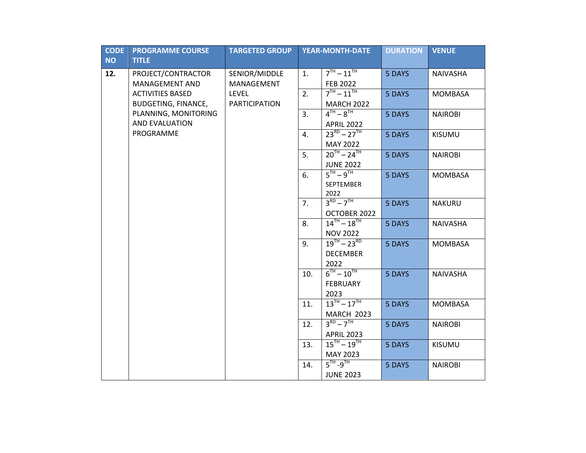| <b>CODE</b> | <b>PROGRAMME COURSE</b>    | <b>TARGETED GROUP</b> |     | <b>YEAR-MONTH-DATE</b>                                 | <b>DURATION</b> | <b>VENUE</b>    |
|-------------|----------------------------|-----------------------|-----|--------------------------------------------------------|-----------------|-----------------|
| <b>NO</b>   | <b>TITLE</b>               |                       |     |                                                        |                 |                 |
| 12.         | PROJECT/CONTRACTOR         | SENIOR/MIDDLE         | 1.  | $7TH - 11TH$                                           | 5 DAYS          | NAIVASHA        |
|             | <b>MANAGEMENT AND</b>      | MANAGEMENT            |     | <b>FEB 2022</b>                                        |                 |                 |
|             | <b>ACTIVITIES BASED</b>    | <b>LEVEL</b>          | 2.  | $7TH - 11TH$                                           | 5 DAYS          | <b>MOMBASA</b>  |
|             | <b>BUDGETING, FINANCE,</b> | <b>PARTICIPATION</b>  |     | <b>MARCH 2022</b>                                      |                 |                 |
|             | PLANNING, MONITORING       |                       | 3.  | $4^{TH} - 8^{TH}$                                      | 5 DAYS          | <b>NAIROBI</b>  |
|             | AND EVALUATION             |                       |     | <b>APRIL 2022</b>                                      |                 |                 |
|             | PROGRAMME                  |                       | 4.  | $23^{RD} - 27^{TH}$                                    | 5 DAYS          | KISUMU          |
|             |                            |                       |     | <b>MAY 2022</b>                                        |                 |                 |
|             |                            |                       | 5.  | $20^{TH} - 24^{TH}$                                    | 5 DAYS          | <b>NAIROBI</b>  |
|             |                            |                       |     | <b>JUNE 2022</b>                                       |                 |                 |
|             |                            |                       | 6.  | $5^{TH} - 9^{TH}$                                      | 5 DAYS          | <b>MOMBASA</b>  |
|             |                            |                       |     | SEPTEMBER                                              |                 |                 |
|             |                            |                       |     | 2022                                                   |                 |                 |
|             |                            |                       | 7.  | $3^{RD} - 7^{TH}$                                      | 5 DAYS          | <b>NAKURU</b>   |
|             |                            |                       |     | OCTOBER 2022                                           |                 |                 |
|             |                            |                       | 8.  | $14^{TH} - 18^{TH}$                                    | 5 DAYS          | <b>NAIVASHA</b> |
|             |                            |                       |     | <b>NOV 2022</b>                                        |                 |                 |
|             |                            |                       | 9.  | $19^{TH} - 23^{RD}$                                    | 5 DAYS          | <b>MOMBASA</b>  |
|             |                            |                       |     | <b>DECEMBER</b>                                        |                 |                 |
|             |                            |                       |     | 2022                                                   |                 |                 |
|             |                            |                       | 10. | $6^{\text{TH}} - 10^{\text{TH}}$                       | 5 DAYS          | <b>NAIVASHA</b> |
|             |                            |                       |     | <b>FEBRUARY</b>                                        |                 |                 |
|             |                            |                       |     | 2023<br>$13^{TH} - 17^{TH}$                            |                 |                 |
|             |                            |                       | 11. |                                                        | 5 DAYS          | <b>MOMBASA</b>  |
|             |                            |                       |     | <b>MARCH 2023</b><br>$3^{RD} - 7^{TH}$                 |                 |                 |
|             |                            |                       | 12. |                                                        | 5 DAYS          | <b>NAIROBI</b>  |
|             |                            |                       | 13. | <b>APRIL 2023</b><br>$15^{\text{TH}} - 19^{\text{TH}}$ | 5 DAYS          |                 |
|             |                            |                       |     |                                                        |                 | <b>KISUMU</b>   |
|             |                            |                       |     | MAY 2023<br>$5TH - 9TH$                                |                 |                 |
|             |                            |                       | 14. |                                                        | 5 DAYS          | <b>NAIROBI</b>  |
|             |                            |                       |     | <b>JUNE 2023</b>                                       |                 |                 |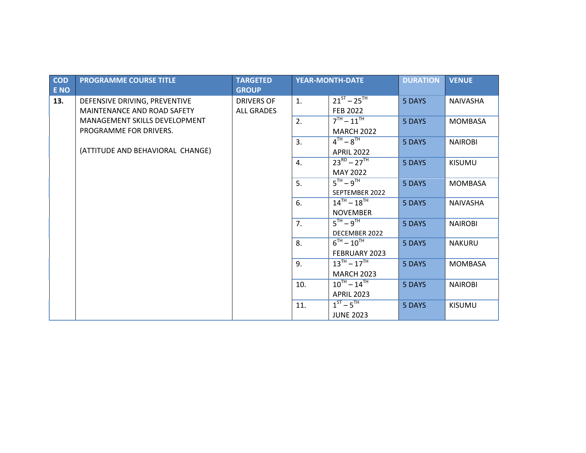| COD<br>E NO | <b>PROGRAMME COURSE TITLE</b>    | <b>TARGETED</b><br><b>GROUP</b> |     | <b>YEAR-MONTH-DATE</b> | <b>DURATION</b> | <b>VENUE</b>    |
|-------------|----------------------------------|---------------------------------|-----|------------------------|-----------------|-----------------|
| 13.         | DEFENSIVE DRIVING, PREVENTIVE    | <b>DRIVERS OF</b>               | 1.  | $21^{ST} - 25^{TH}$    | 5 DAYS          | <b>NAIVASHA</b> |
|             | MAINTENANCE AND ROAD SAFETY      | <b>ALL GRADES</b>               |     | FEB 2022               |                 |                 |
|             | MANAGEMENT SKILLS DEVELOPMENT    |                                 | 2.  | $7TH - 11TH$           | 5 DAYS          | <b>MOMBASA</b>  |
|             | PROGRAMME FOR DRIVERS.           |                                 |     | <b>MARCH 2022</b>      |                 |                 |
|             |                                  |                                 | 3.  | $4^{TH} - 8^{TH}$      | 5 DAYS          | <b>NAIROBI</b>  |
|             | (ATTITUDE AND BEHAVIORAL CHANGE) |                                 |     | <b>APRIL 2022</b>      |                 |                 |
|             |                                  |                                 | 4.  | $23^{RD} - 27^{TH}$    | 5 DAYS          | <b>KISUMU</b>   |
|             |                                  |                                 |     | <b>MAY 2022</b>        |                 |                 |
|             |                                  |                                 | 5.  | $5TH - 9TH$            | 5 DAYS          | <b>MOMBASA</b>  |
|             |                                  |                                 |     | SEPTEMBER 2022         |                 |                 |
|             |                                  |                                 | 6.  | $14^{TH} - 18^{TH}$    | 5 DAYS          | <b>NAIVASHA</b> |
|             |                                  |                                 |     | <b>NOVEMBER</b>        |                 |                 |
|             |                                  |                                 | 7.  | $5TH - 9TH$            | 5 DAYS          | <b>NAIROBI</b>  |
|             |                                  |                                 |     | DECEMBER 2022          |                 |                 |
|             |                                  |                                 | 8.  | $6^{TH} - 10^{TH}$     | 5 DAYS          | <b>NAKURU</b>   |
|             |                                  |                                 |     | FEBRUARY 2023          |                 |                 |
|             |                                  |                                 | 9.  | $13^{TH} - 17^{TH}$    | 5 DAYS          | <b>MOMBASA</b>  |
|             |                                  |                                 |     | <b>MARCH 2023</b>      |                 |                 |
|             |                                  |                                 | 10. | $10^{TH} - 14^{TH}$    | 5 DAYS          | <b>NAIROBI</b>  |
|             |                                  |                                 |     | <b>APRIL 2023</b>      |                 |                 |
|             |                                  |                                 | 11. | $1ST - 5TH$            | 5 DAYS          | <b>KISUMU</b>   |
|             |                                  |                                 |     | <b>JUNE 2023</b>       |                 |                 |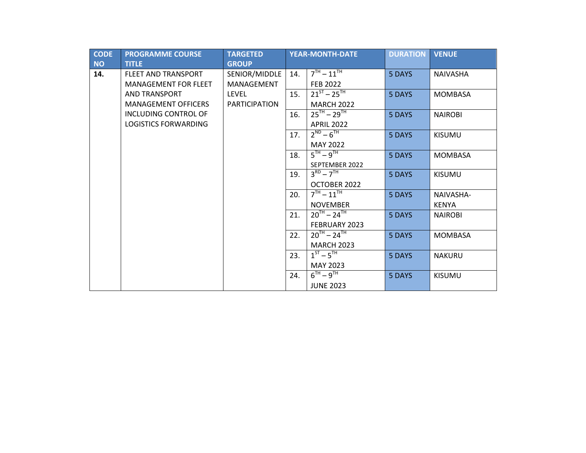| <b>CODE</b> | <b>PROGRAMME COURSE</b>     | <b>TARGETED</b>      |     | <b>YEAR-MONTH-DATE</b> | <b>DURATION</b> | <b>VENUE</b>    |
|-------------|-----------------------------|----------------------|-----|------------------------|-----------------|-----------------|
| <b>NO</b>   | <b>TITLE</b>                | <b>GROUP</b>         |     |                        |                 |                 |
| 14.         | <b>FLEET AND TRANSPORT</b>  | SENIOR/MIDDLE        | 14. | $7TH - 11TH$           | 5 DAYS          | <b>NAIVASHA</b> |
|             | <b>MANAGEMENT FOR FLEET</b> | MANAGEMENT           |     | <b>FEB 2022</b>        |                 |                 |
|             | <b>AND TRANSPORT</b>        | LEVEL                | 15. | $21^{ST} - 25^{TH}$    | 5 DAYS          | <b>MOMBASA</b>  |
|             | <b>MANAGEMENT OFFICERS</b>  | <b>PARTICIPATION</b> |     | <b>MARCH 2022</b>      |                 |                 |
|             | INCLUDING CONTROL OF        |                      | 16. | $25^{TH} - 29^{TH}$    | 5 DAYS          | <b>NAIROBI</b>  |
|             | <b>LOGISTICS FORWARDING</b> |                      |     | <b>APRIL 2022</b>      |                 |                 |
|             |                             |                      | 17. | $2^{ND} - 6^{TH}$      | 5 DAYS          | <b>KISUMU</b>   |
|             |                             |                      |     | <b>MAY 2022</b>        |                 |                 |
|             |                             |                      | 18. | $5TH - 9TH$            | 5 DAYS          | <b>MOMBASA</b>  |
|             |                             |                      |     | SEPTEMBER 2022         |                 |                 |
|             |                             |                      | 19. | $3^{RD} - 7^{TH}$      | 5 DAYS          | <b>KISUMU</b>   |
|             |                             |                      |     | OCTOBER 2022           |                 |                 |
|             |                             |                      | 20. | $7^{TH} - 11^{TH}$     | 5 DAYS          | NAIVASHA-       |
|             |                             |                      |     | <b>NOVEMBER</b>        |                 | <b>KENYA</b>    |
|             |                             |                      | 21. | $20^{TH} - 24^{TH}$    | 5 DAYS          | <b>NAIROBI</b>  |
|             |                             |                      |     | FEBRUARY 2023          |                 |                 |
|             |                             |                      | 22. | $20^{TH} - 24^{TH}$    | 5 DAYS          | <b>MOMBASA</b>  |
|             |                             |                      |     | <b>MARCH 2023</b>      |                 |                 |
|             |                             |                      | 23. | $1^{57} - 5^{7H}$      | 5 DAYS          | <b>NAKURU</b>   |
|             |                             |                      |     | <b>MAY 2023</b>        |                 |                 |
|             |                             |                      | 24. | $6TH - 9TH$            | 5 DAYS          | <b>KISUMU</b>   |
|             |                             |                      |     | <b>JUNE 2023</b>       |                 |                 |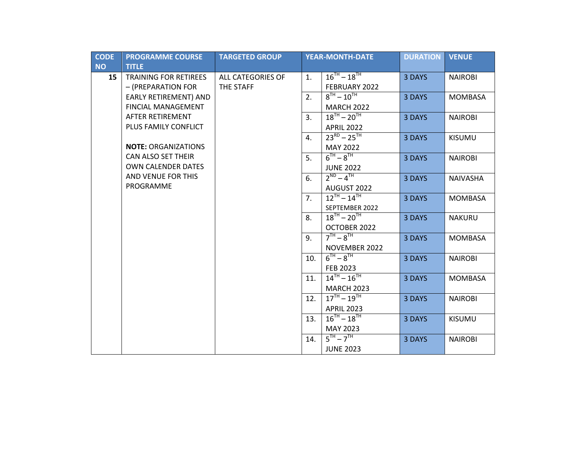| <b>CODE</b> | <b>PROGRAMME COURSE</b>      | <b>TARGETED GROUP</b> |     | <b>YEAR-MONTH-DATE</b>            | <b>DURATION</b> | <b>VENUE</b>    |
|-------------|------------------------------|-----------------------|-----|-----------------------------------|-----------------|-----------------|
| <b>NO</b>   | <b>TITLE</b>                 |                       |     |                                   |                 |                 |
| 15          | <b>TRAINING FOR RETIREES</b> | ALL CATEGORIES OF     | 1.  | $16^{TH} - 18^{TH}$               | 3 DAYS          | <b>NAIROBI</b>  |
|             | - (PREPARATION FOR           | THE STAFF             |     | FEBRUARY 2022                     |                 |                 |
|             | <b>EARLY RETIREMENT) AND</b> |                       | 2.  | $8^{TH} - 10^{TH}$                | 3 DAYS          | <b>MOMBASA</b>  |
|             | <b>FINCIAL MANAGEMENT</b>    |                       |     | <b>MARCH 2022</b>                 |                 |                 |
|             | <b>AFTER RETIREMENT</b>      |                       | 3.  | $18^{\text{TH}} - 20^{\text{TH}}$ | 3 DAYS          | <b>NAIROBI</b>  |
|             | PLUS FAMILY CONFLICT         |                       |     | <b>APRIL 2022</b>                 |                 |                 |
|             |                              |                       | 4.  | $23^{RD} - 25^{TH}$               | 3 DAYS          | <b>KISUMU</b>   |
|             | <b>NOTE: ORGANIZATIONS</b>   |                       |     | <b>MAY 2022</b>                   |                 |                 |
|             | <b>CAN ALSO SET THEIR</b>    |                       | 5.  | $6^{TH} - 8^{TH}$                 | 3 DAYS          | <b>NAIROBI</b>  |
|             | <b>OWN CALENDER DATES</b>    |                       |     | <b>JUNE 2022</b>                  |                 |                 |
|             | AND VENUE FOR THIS           |                       | 6.  | $2^{ND} - 4^{TH}$                 | 3 DAYS          | <b>NAIVASHA</b> |
|             | PROGRAMME                    |                       |     | AUGUST 2022                       |                 |                 |
|             |                              |                       | 7.  | $12^{TH} - 14^{TH}$               | 3 DAYS          | <b>MOMBASA</b>  |
|             |                              |                       |     | SEPTEMBER 2022                    |                 |                 |
|             |                              |                       | 8.  | $18^{TH} - 20^{TH}$               | 3 DAYS          | <b>NAKURU</b>   |
|             |                              |                       |     | OCTOBER 2022                      |                 |                 |
|             |                              |                       | 9.  | $7TH - 8TH$                       | 3 DAYS          | <b>MOMBASA</b>  |
|             |                              |                       |     | NOVEMBER 2022                     |                 |                 |
|             |                              |                       | 10. | $6^{TH} - 8^{TH}$                 | 3 DAYS          | <b>NAIROBI</b>  |
|             |                              |                       |     | FEB 2023                          |                 |                 |
|             |                              |                       | 11. | $14^{TH} - 16^{TH}$               | 3 DAYS          | <b>MOMBASA</b>  |
|             |                              |                       |     | <b>MARCH 2023</b>                 |                 |                 |
|             |                              |                       | 12. | $17^{TH} - 19^{TH}$               | 3 DAYS          | <b>NAIROBI</b>  |
|             |                              |                       |     | <b>APRIL 2023</b>                 |                 |                 |
|             |                              |                       | 13. | $16^{TH} - 18^{TH}$               | 3 DAYS          | <b>KISUMU</b>   |
|             |                              |                       |     | MAY 2023                          |                 |                 |
|             |                              |                       | 14. | $5^{TH} - 7^{TH}$                 | 3 DAYS          | <b>NAIROBI</b>  |
|             |                              |                       |     | <b>JUNE 2023</b>                  |                 |                 |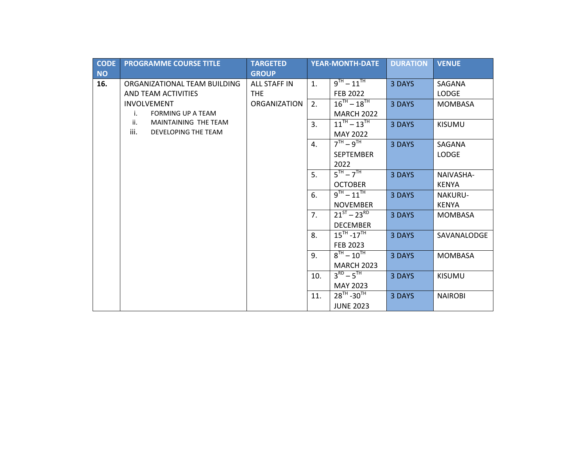| <b>CODE</b>      | <b>PROGRAMME COURSE TITLE</b>  | <b>TARGETED</b>                     |     | <b>YEAR-MONTH-DATE</b> | <b>DURATION</b> | <b>VENUE</b>   |
|------------------|--------------------------------|-------------------------------------|-----|------------------------|-----------------|----------------|
| <b>NO</b><br>16. | ORGANIZATIONAL TEAM BUILDING   | <b>GROUP</b><br><b>ALL STAFF IN</b> | 1.  | $9^{TH} - 11^{TH}$     | 3 DAYS          | SAGANA         |
|                  | AND TEAM ACTIVITIES            | <b>THE</b>                          |     | <b>FEB 2022</b>        |                 | <b>LODGE</b>   |
|                  | <b>INVOLVEMENT</b>             | <b>ORGANIZATION</b>                 | 2.  | $16^{TH} - 18^{TH}$    | 3 DAYS          | <b>MOMBASA</b> |
|                  | <b>FORMING UP A TEAM</b><br>i. |                                     |     | <b>MARCH 2022</b>      |                 |                |
|                  | MAINTAINING THE TEAM<br>ii.    |                                     | 3.  | $11^{TH} - 13^{TH}$    | 3 DAYS          | <b>KISUMU</b>  |
|                  | iii.<br>DEVELOPING THE TEAM    |                                     |     | <b>MAY 2022</b>        |                 |                |
|                  |                                |                                     | 4.  | $7^{TH} - 9^{TH}$      | 3 DAYS          | SAGANA         |
|                  |                                |                                     |     | <b>SEPTEMBER</b>       |                 | <b>LODGE</b>   |
|                  |                                |                                     |     | 2022                   |                 |                |
|                  |                                |                                     | 5.  | $5^{TH} - 7^{TH}$      | 3 DAYS          | NAIVASHA-      |
|                  |                                |                                     |     | <b>OCTOBER</b>         |                 | <b>KENYA</b>   |
|                  |                                |                                     | 6.  | $9^{TH} - 11^{TH}$     | 3 DAYS          | <b>NAKURU-</b> |
|                  |                                |                                     |     | <b>NOVEMBER</b>        |                 | <b>KENYA</b>   |
|                  |                                |                                     | 7.  | $21^{ST} - 23^{RD}$    | 3 DAYS          | <b>MOMBASA</b> |
|                  |                                |                                     |     | <b>DECEMBER</b>        |                 |                |
|                  |                                |                                     | 8.  | $15^{TH} - 17^{TH}$    | 3 DAYS          | SAVANALODGE    |
|                  |                                |                                     |     | FEB 2023               |                 |                |
|                  |                                |                                     | 9.  | $8^{TH} - 10^{TH}$     | 3 DAYS          | <b>MOMBASA</b> |
|                  |                                |                                     |     | <b>MARCH 2023</b>      |                 |                |
|                  |                                |                                     | 10. | $3^{RD} - 5^{TH}$      | 3 DAYS          | <b>KISUMU</b>  |
|                  |                                |                                     |     | MAY 2023               |                 |                |
|                  |                                |                                     | 11. | $28^{TH} - 30^{TH}$    | 3 DAYS          | <b>NAIROBI</b> |
|                  |                                |                                     |     | <b>JUNE 2023</b>       |                 |                |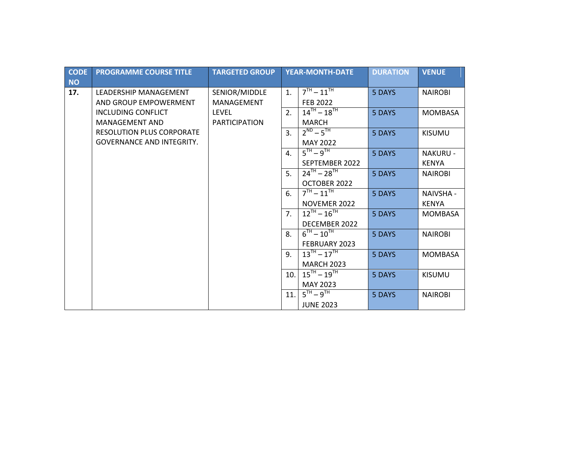| <b>CODE</b> | <b>PROGRAMME COURSE TITLE</b>    | <b>TARGETED GROUP</b> |                | <b>YEAR-MONTH-DATE</b> | <b>DURATION</b> | <b>VENUE</b>     |
|-------------|----------------------------------|-----------------------|----------------|------------------------|-----------------|------------------|
| <b>NO</b>   |                                  |                       |                |                        |                 |                  |
| 17.         | <b>LEADERSHIP MANAGEMENT</b>     | SENIOR/MIDDLE         | $\mathbf{1}$ . | $7^{TH} - 11^{TH}$     | 5 DAYS          | <b>NAIROBI</b>   |
|             | AND GROUP EMPOWERMENT            | MANAGEMENT            |                | <b>FEB 2022</b>        |                 |                  |
|             | INCLUDING CONFLICT               | <b>LEVEL</b>          | 2.             | $14^{TH} - 18^{TH}$    | 5 DAYS          | <b>MOMBASA</b>   |
|             | <b>MANAGEMENT AND</b>            | <b>PARTICIPATION</b>  |                | <b>MARCH</b>           |                 |                  |
|             | <b>RESOLUTION PLUS CORPORATE</b> |                       | 3.             | $2^{ND} - 5^{TH}$      | 5 DAYS          | <b>KISUMU</b>    |
|             | <b>GOVERNANCE AND INTEGRITY.</b> |                       |                | <b>MAY 2022</b>        |                 |                  |
|             |                                  |                       | 4.             | $5^{TH} - 9^{TH}$      | 5 DAYS          | <b>NAKURU -</b>  |
|             |                                  |                       |                | SEPTEMBER 2022         |                 | <b>KENYA</b>     |
|             |                                  |                       | 5.             | $24^{TH} - 28^{TH}$    | 5 DAYS          | <b>NAIROBI</b>   |
|             |                                  |                       |                | OCTOBER 2022           |                 |                  |
|             |                                  |                       | 6.             | $7^{TH} - 11^{TH}$     | 5 DAYS          | <b>NAIVSHA -</b> |
|             |                                  |                       |                | NOVEMER 2022           |                 | <b>KENYA</b>     |
|             |                                  |                       | 7.             | $12^{TH} - 16^{TH}$    | 5 DAYS          | <b>MOMBASA</b>   |
|             |                                  |                       |                | DECEMBER 2022          |                 |                  |
|             |                                  |                       | 8.             | $6^{TH} - 10^{TH}$     | 5 DAYS          | <b>NAIROBI</b>   |
|             |                                  |                       |                | FEBRUARY 2023          |                 |                  |
|             |                                  |                       | 9 <sub>1</sub> | $13^{TH} - 17^{TH}$    | 5 DAYS          | <b>MOMBASA</b>   |
|             |                                  |                       |                | <b>MARCH 2023</b>      |                 |                  |
|             |                                  |                       | 10.            | $15^{TH} - 19^{TH}$    | 5 DAYS          | <b>KISUMU</b>    |
|             |                                  |                       |                | MAY 2023               |                 |                  |
|             |                                  |                       | 11.            | $5TH - 9TH$            | 5 DAYS          | <b>NAIROBI</b>   |
|             |                                  |                       |                | <b>JUNE 2023</b>       |                 |                  |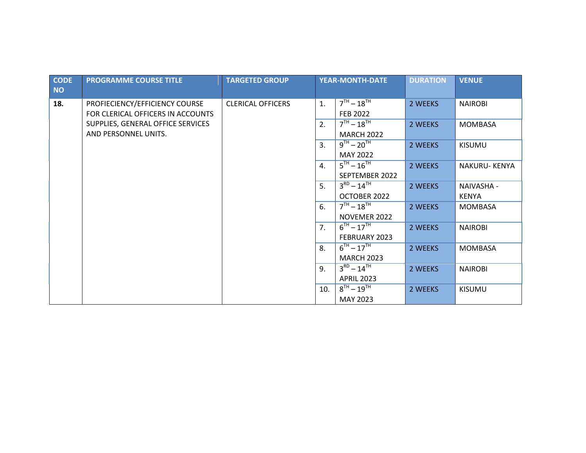| <b>CODE</b><br><b>NO</b> | <b>PROGRAMME COURSE TITLE</b>                                       | <b>TARGETED GROUP</b>    |     | <b>YEAR-MONTH-DATE</b>                  | <b>DURATION</b> | <b>VENUE</b>        |
|--------------------------|---------------------------------------------------------------------|--------------------------|-----|-----------------------------------------|-----------------|---------------------|
| 18.                      | PROFIECIENCY/EFFICIENCY COURSE<br>FOR CLERICAL OFFICERS IN ACCOUNTS | <b>CLERICAL OFFICERS</b> | 1.  | $7^{TH} - 18^{TH}$<br><b>FEB 2022</b>   | 2 WEEKS         | <b>NAIROBI</b>      |
|                          | SUPPLIES, GENERAL OFFICE SERVICES<br>AND PERSONNEL UNITS.           |                          | 2.  | $7TH - 18TH$<br><b>MARCH 2022</b>       | 2 WEEKS         | <b>MOMBASA</b>      |
|                          |                                                                     |                          | 3.  | $9^{TH} - 20^{TH}$<br><b>MAY 2022</b>   | 2 WEEKS         | <b>KISUMU</b>       |
|                          |                                                                     |                          | 4.  | $5^{TH} - 16^{TH}$<br>SEPTEMBER 2022    | 2 WEEKS         | NAKURU-KENYA        |
|                          |                                                                     |                          | 5.  | $3^{RD} - 14^{TH}$<br>OCTOBER 2022      | 2 WEEKS         | NAIVASHA -<br>KENYA |
|                          |                                                                     |                          | 6.  | $7^{TH} - 18^{TH}$<br>NOVEMER 2022      | 2 WEEKS         | <b>MOMBASA</b>      |
|                          |                                                                     |                          | 7.  | $6^{TH} - 17^{TH}$<br>FEBRUARY 2023     | 2 WEEKS         | <b>NAIROBI</b>      |
|                          |                                                                     |                          | 8.  | $6^{TH} - 17^{TH}$<br><b>MARCH 2023</b> | 2 WEEKS         | <b>MOMBASA</b>      |
|                          |                                                                     |                          | 9.  | $3^{RD} - 14^{TH}$<br><b>APRIL 2023</b> | 2 WEEKS         | <b>NAIROBI</b>      |
|                          |                                                                     |                          | 10. | $8^{TH} - 19^{TH}$<br><b>MAY 2023</b>   | 2 WEEKS         | <b>KISUMU</b>       |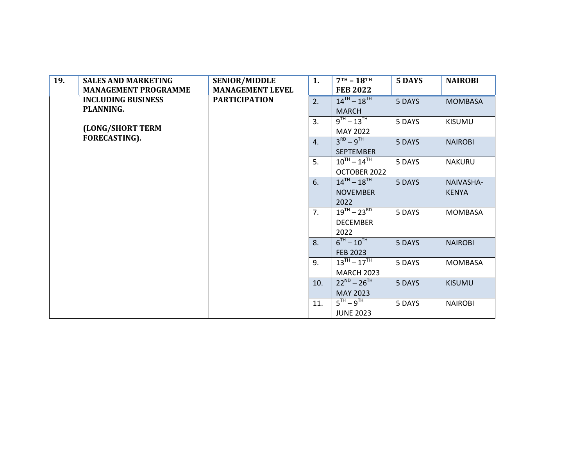| 19. | <b>SALES AND MARKETING</b>  | <b>SENIOR/MIDDLE</b>    | 1.  | $7TH - 18TH$        | 5 DAYS | <b>NAIROBI</b> |
|-----|-----------------------------|-------------------------|-----|---------------------|--------|----------------|
|     | <b>MANAGEMENT PROGRAMME</b> | <b>MANAGEMENT LEVEL</b> |     | <b>FEB 2022</b>     |        |                |
|     | <b>INCLUDING BUSINESS</b>   | <b>PARTICIPATION</b>    | 2.  | $14^{TH} - 18^{TH}$ | 5 DAYS | <b>MOMBASA</b> |
|     | PLANNING.                   |                         |     | <b>MARCH</b>        |        |                |
|     |                             |                         | 3.  | $9^{TH} - 13^{TH}$  | 5 DAYS | <b>KISUMU</b>  |
|     | (LONG/SHORT TERM            |                         |     | <b>MAY 2022</b>     |        |                |
|     | FORECASTING).               |                         | 4.  | $3^{RD} - 9^{TH}$   | 5 DAYS | <b>NAIROBI</b> |
|     |                             |                         |     | <b>SEPTEMBER</b>    |        |                |
|     |                             |                         | 5.  | $10^{TH} - 14^{TH}$ | 5 DAYS | <b>NAKURU</b>  |
|     |                             |                         |     | OCTOBER 2022        |        |                |
|     |                             |                         | 6.  | $14^{TH} - 18^{TH}$ | 5 DAYS | NAIVASHA-      |
|     |                             |                         |     | <b>NOVEMBER</b>     |        | <b>KENYA</b>   |
|     |                             |                         |     | 2022                |        |                |
|     |                             |                         | 7.  | $19^{TH} - 23^{RD}$ | 5 DAYS | <b>MOMBASA</b> |
|     |                             |                         |     | <b>DECEMBER</b>     |        |                |
|     |                             |                         |     | 2022                |        |                |
|     |                             |                         | 8.  | $6^{TH} - 10^{TH}$  | 5 DAYS | <b>NAIROBI</b> |
|     |                             |                         |     | <b>FEB 2023</b>     |        |                |
|     |                             |                         | 9.  | $13^{TH} - 17^{TH}$ | 5 DAYS | <b>MOMBASA</b> |
|     |                             |                         |     | <b>MARCH 2023</b>   |        |                |
|     |                             |                         | 10. | $22^{ND} - 26^{TH}$ | 5 DAYS | <b>KISUMU</b>  |
|     |                             |                         |     | MAY 2023            |        |                |
|     |                             |                         | 11. | $5^{TH} - 9^{TH}$   | 5 DAYS | <b>NAIROBI</b> |
|     |                             |                         |     | <b>JUNE 2023</b>    |        |                |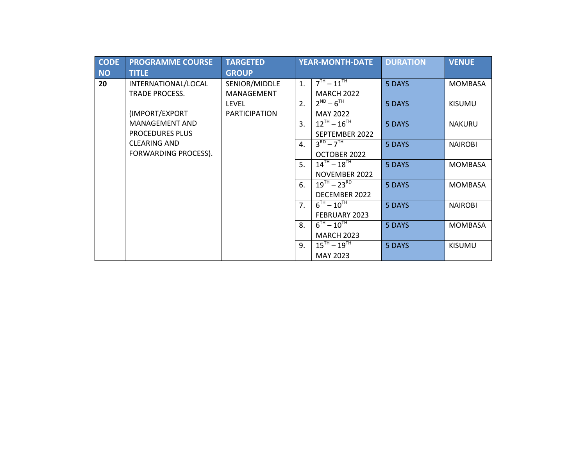| <b>CODE</b><br><b>NO</b> | <b>PROGRAMME COURSE</b><br><b>TITLE</b> | <b>TARGETED</b><br><b>GROUP</b> |                | <b>YEAR-MONTH-DATE</b> | <b>DURATION</b> | <b>VENUE</b>   |
|--------------------------|-----------------------------------------|---------------------------------|----------------|------------------------|-----------------|----------------|
| 20                       | INTERNATIONAL/LOCAL                     | SENIOR/MIDDLE                   | 1.             | $7TH - 11TH$           | 5 DAYS          | <b>MOMBASA</b> |
|                          | TRADE PROCESS.                          | <b>MANAGEMENT</b>               |                | <b>MARCH 2022</b>      |                 |                |
|                          |                                         | <b>LEVEL</b>                    | 2.             | $2^{ND} - 6^{TH}$      | 5 DAYS          | <b>KISUMU</b>  |
|                          | (IMPORT/EXPORT                          | <b>PARTICIPATION</b>            |                | <b>MAY 2022</b>        |                 |                |
|                          | <b>MANAGEMENT AND</b>                   |                                 | 3.             | $12^{TH} - 16^{TH}$    | 5 DAYS          | <b>NAKURU</b>  |
|                          | <b>PROCEDURES PLUS</b>                  |                                 |                | SEPTEMBER 2022         |                 |                |
|                          | <b>CLEARING AND</b>                     |                                 | $\mathbf{4}$ . | $3^{RD} - 7^{TH}$      | 5 DAYS          | <b>NAIROBI</b> |
|                          | FORWARDING PROCESS).                    |                                 |                | OCTOBER 2022           |                 |                |
|                          |                                         |                                 | 5.             | $14^{TH} - 18^{TH}$    | 5 DAYS          | <b>MOMBASA</b> |
|                          |                                         |                                 |                | NOVEMBER 2022          |                 |                |
|                          |                                         |                                 | 6.             | $19^{TH} - 23^{RD}$    | 5 DAYS          | <b>MOMBASA</b> |
|                          |                                         |                                 |                | DECEMBER 2022          |                 |                |
|                          |                                         |                                 | 7 <sub>1</sub> | $6^{TH} - 10^{TH}$     | 5 DAYS          | <b>NAIROBI</b> |
|                          |                                         |                                 |                | FEBRUARY 2023          |                 |                |
|                          |                                         |                                 | 8.             | $6^{TH} - 10^{TH}$     | 5 DAYS          | <b>MOMBASA</b> |
|                          |                                         |                                 |                | <b>MARCH 2023</b>      |                 |                |
|                          |                                         |                                 | 9.             | $15^{TH} - 19^{TH}$    | 5 DAYS          | <b>KISUMU</b>  |
|                          |                                         |                                 |                | MAY 2023               |                 |                |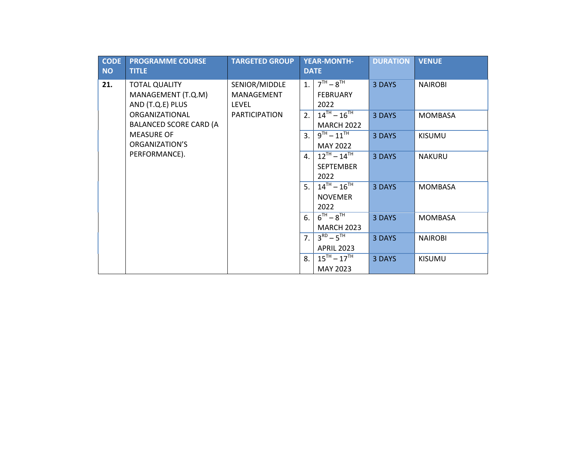| <b>CODE</b><br><b>NO</b> | <b>PROGRAMME COURSE</b><br><b>TITLE</b>                        | <b>TARGETED GROUP</b>                       |                | <b>YEAR-MONTH-</b><br><b>DATE</b>               | <b>DURATION</b> | <b>VENUE</b>   |
|--------------------------|----------------------------------------------------------------|---------------------------------------------|----------------|-------------------------------------------------|-----------------|----------------|
| 21.                      | <b>TOTAL QUALITY</b><br>MANAGEMENT (T.Q.M)<br>AND (T.Q.E) PLUS | SENIOR/MIDDLE<br>MANAGEMENT<br><b>LEVEL</b> | 1.             | $7TH - 8TH$<br><b>FEBRUARY</b><br>2022          | 3 DAYS          | <b>NAIROBI</b> |
|                          | ORGANIZATIONAL<br><b>BALANCED SCORE CARD (A</b>                | <b>PARTICIPATION</b>                        | 2.             | $14^{TH} - 16^{TH}$<br><b>MARCH 2022</b>        | 3 DAYS          | <b>MOMBASA</b> |
|                          | <b>MEASURE OF</b><br>ORGANIZATION'S                            |                                             | 3.             | $9^{TH} - 11^{TH}$<br><b>MAY 2022</b>           | 3 DAYS          | <b>KISUMU</b>  |
|                          | PERFORMANCE).                                                  |                                             | 4.             | $12^{TH} - 14^{TH}$<br><b>SEPTEMBER</b><br>2022 | 3 DAYS          | <b>NAKURU</b>  |
|                          |                                                                |                                             | 5.             | $14^{TH} - 16^{TH}$<br><b>NOVEMER</b><br>2022   | 3 DAYS          | <b>MOMBASA</b> |
|                          |                                                                |                                             | 6.             | $6^{TH} - 8^{TH}$<br><b>MARCH 2023</b>          | 3 DAYS          | <b>MOMBASA</b> |
|                          |                                                                |                                             | 7 <sub>1</sub> | $3^{RD} - 5^{TH}$<br><b>APRIL 2023</b>          | 3 DAYS          | <b>NAIROBI</b> |
|                          |                                                                |                                             | 8.             | $15^{TH} - 17^{TH}$<br>MAY 2023                 | 3 DAYS          | <b>KISUMU</b>  |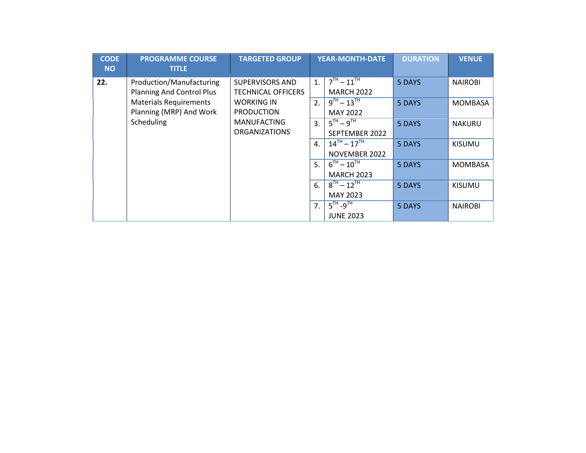| <b>CODE</b><br><b>NO</b> | <b>PROGRAMME COURSE</b><br><b>TITLE</b>                           | <b>TARGETED GROUP</b>                          |                | <b>YEAR-MONTH-DATE</b>                  | <b>DURATION</b> | <b>VENUE</b>   |
|--------------------------|-------------------------------------------------------------------|------------------------------------------------|----------------|-----------------------------------------|-----------------|----------------|
| 22.                      | Production/Manufacturing                                          | SUPERVISORS AND                                | 1.             | $7^{TH} - 11^{TH}$                      | 5 DAYS          | <b>NAIROBI</b> |
|                          | <b>Planning And Control Plus</b><br><b>Materials Requirements</b> | <b>TECHNICAL OFFICERS</b><br><b>WORKING IN</b> | 2.             | <b>MARCH 2022</b><br>$9^{TH} - 13^{TH}$ | 5 DAYS          | <b>MOMBASA</b> |
|                          | Planning (MRP) And Work                                           | <b>PRODUCTION</b>                              |                | <b>MAY 2022</b>                         |                 |                |
|                          | Scheduling                                                        | <b>MANUFACTING</b>                             | 3 <sub>1</sub> | $5TH - 9TH$                             | 5 DAYS          | <b>NAKURU</b>  |
|                          |                                                                   | <b>ORGANIZATIONS</b>                           |                | SEPTEMBER 2022                          |                 |                |
|                          |                                                                   |                                                | $\mathbf{A}$ . | $14^{TH} - 17^{TH}$                     | 5 DAYS          | <b>KISUMU</b>  |
|                          |                                                                   |                                                |                | NOVEMBER 2022                           |                 |                |
|                          |                                                                   |                                                | 5.             | $6^{TH} - 10^{TH}$                      | 5 DAYS          | <b>MOMBASA</b> |
|                          |                                                                   |                                                |                | <b>MARCH 2023</b>                       |                 |                |
|                          |                                                                   |                                                | 6.             | $8^{TH} - 12^{TH}$                      | 5 DAYS          | <b>KISUMU</b>  |
|                          |                                                                   |                                                |                | MAY 2023                                |                 |                |
|                          |                                                                   |                                                | 7.             | $5^{\text{TH}}$ -9 <sup>TH</sup>        | 5 DAYS          | <b>NAIROBI</b> |
|                          |                                                                   |                                                |                | <b>JUNE 2023</b>                        |                 |                |